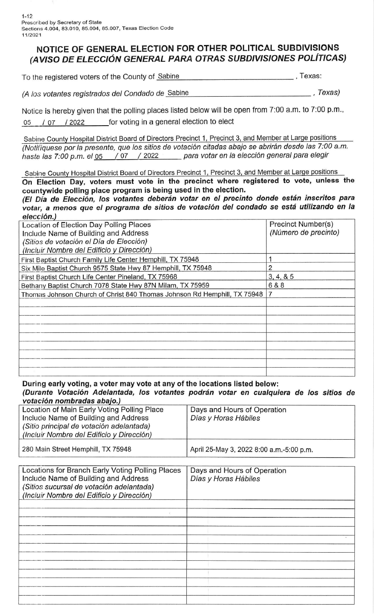## NOTICE OF GENERAL ELECTION FOR OTHER POLITICAL SUBDIVISIONS (AVISO DE ELECCIÓN GENERAL PARA OTRAS SUBDIVISIONES POLÍTICAS)

To the registered voters of the County of Sabine , To the registered voters of the County of Sabine

(A los votantes registrados del Condado de Sabine , Texas)

Notice is hereby given that the polling places listed below will be open from 7:00 a.m. to 7:00 p.m., 05 / 07 / 2022 for voting in a general election to elect

Sabine County Hospital District Board of Directors Precinct 1, Precinct 3, and Member at Large positions (Notifíquese por la presente, que los sitios de votación citadas abajo se abrirán desde las 7:00 a.m. hasta las 7:00 p.m. el 05 / 07 / 2022 para votar en la elección general para elegir

Sabine County Hospital District Board of Directors Precinct 1, Precinct 3, and Member at Large positions On Election Day, voters must vote in the precinct where registered to vote, unless the countywide polling place program is being used in the election.

(El Día de Elección, los votantes deberán votar en el precinto donde están inscritos para votar, a menos que el programa de sitios de votación del condado se está utilizando en la elección.)

| Location of Election Day Polling Places                                  | Precinct Number(s)   |
|--------------------------------------------------------------------------|----------------------|
| Include Name of Building and Address                                     | (Número de precinto) |
| (Sitios de votación el Día de Elección)                                  |                      |
| (Incluir Nombre del Edificio y Dirección)                                |                      |
| First Baptist Church Family Life Center Hemphill, TX 75948               |                      |
| Six Mile Baptist Church 9575 State Hwy 87 Hemphill, TX 75948             |                      |
| First Baptist Church Life Center Pineland, TX 75968                      | 3, 4, 8, 5           |
| Bethany Baptist Church 7078 State Hwy 87N Milam, TX 75959                | 6 & 8                |
| Thomas Johnson Church of Christ 840 Thomas Johnson Rd Hemphill, TX 75948 |                      |
|                                                                          |                      |
|                                                                          |                      |
|                                                                          |                      |
|                                                                          |                      |
|                                                                          |                      |
|                                                                          |                      |
|                                                                          |                      |
|                                                                          |                      |
|                                                                          |                      |

During early voting, a voter may vote at any of the locations listed below:

votación nombradas abaio.) (Durante Votación Adelantada, los votantes podrán votar en cualquiera de los sitios de

| Location of Main Early Voting Polling Place<br>Include Name of Building and Address<br>(Sitio principal de votación adelantada)<br>(Incluir Nombre del Edificio y Dirección) | Days and Hours of Operation<br>Días y Horas Hábiles |
|------------------------------------------------------------------------------------------------------------------------------------------------------------------------------|-----------------------------------------------------|
| 280 Main Street Hemphill, TX 75948                                                                                                                                           | April 25-May 3, 2022 8:00 a.m.-5:00 p.m.            |

| Days and Hours of Operation<br>Días y Horas Hábiles |
|-----------------------------------------------------|
|                                                     |
|                                                     |
|                                                     |
|                                                     |
|                                                     |
|                                                     |
|                                                     |
|                                                     |
|                                                     |
|                                                     |
|                                                     |
|                                                     |